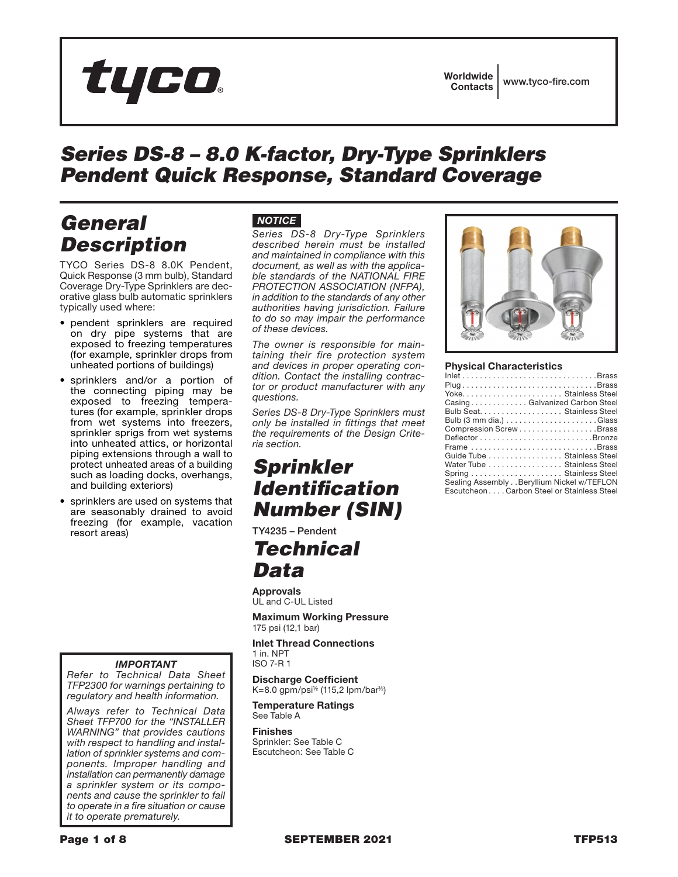# tyco.

# *Series DS-8 – 8.0 K-factor, Dry-Type Sprinklers Pendent Quick Response, Standard Coverage*

# *General Description*

TYCO Series DS-8 8.0K Pendent, Quick Response (3 mm bulb), Standard Coverage Dry-Type Sprinklers are decorative glass bulb automatic sprinklers typically used where:

- pendent sprinklers are required on dry pipe systems that are exposed to freezing temperatures (for example, sprinkler drops from unheated portions of buildings)
- sprinklers and/or a portion of the connecting piping may be exposed to freezing temperatures (for example, sprinkler drops from wet systems into freezers, sprinkler sprigs from wet systems into unheated attics, or horizontal piping extensions through a wall to protect unheated areas of a building such as loading docks, overhangs, and building exteriors)
- sprinklers are used on systems that are seasonably drained to avoid freezing (for example, vacation resort areas)

#### *IMPORTANT*

*Refer to Technical Data Sheet TFP2300 for warnings pertaining to regulatory and health information.*

*Always refer to Technical Data Sheet TFP700 for the "INSTALLER WARNING" that provides cautions with respect to handling and installation of sprinkler systems and components. Improper handling and installation can permanently damage a sprinkler system or its components and cause the sprinkler to fail to operate in a fire situation or cause it to operate prematurely.*

### *NOTICE*

*Series DS-8 Dry-Type Sprinklers described herein must be installed and maintained in compliance with this document, as well as with the applicable standards of the NATIONAL FIRE PROTECTION ASSOCIATION (NFPA), in addition to the standards of any other authorities having jurisdiction. Failure to do so may impair the performance of these devices.*

*The owner is responsible for maintaining their fire protection system and devices in proper operating condition. Contact the installing contractor or product manufacturer with any questions.*

*Series DS-8 Dry-Type Sprinklers must only be installed in fittings that meet the requirements of the Design Criteria section.*

### *Sprinkler Identification Number (SIN)*

TY4235 – Pendent

# *Technical Data*

Approvals UL and C-UL Listed

Maximum Working Pressure 175 psi (12,1 bar)

Inlet Thread Connections 1 in. NPT ISO 7-R 1

Discharge Coefficient

K=8.0 gpm/psi½ (115,2 lpm/bar½) Temperature Ratings

See Table A

Finishes Sprinkler: See Table C Escutcheon: See Table C



#### Physical Characteristics

| $Inlet \ldots \ldots \ldots \ldots \ldots \ldots \ldots \ldots \ldots \ldots \ldots \text{Brass}$ |
|---------------------------------------------------------------------------------------------------|
| $Plug \dots \dots \dots \dots \dots \dots \dots \dots \dots \dots \dots \dots \dots \dots \dots$  |
|                                                                                                   |
| CasingGalvanized Carbon Steel                                                                     |
| Bulb Seat. Stainless Steel                                                                        |
|                                                                                                   |
| Compression ScrewBrass                                                                            |
|                                                                                                   |
| Frame Brass                                                                                       |
| Guide Tube Stainless Steel                                                                        |
| Water Tube Stainless Steel                                                                        |
|                                                                                                   |
| Sealing Assembly Beryllium Nickel w/TEFLON                                                        |
| EscutcheonCarbon Steel or Stainless Steel                                                         |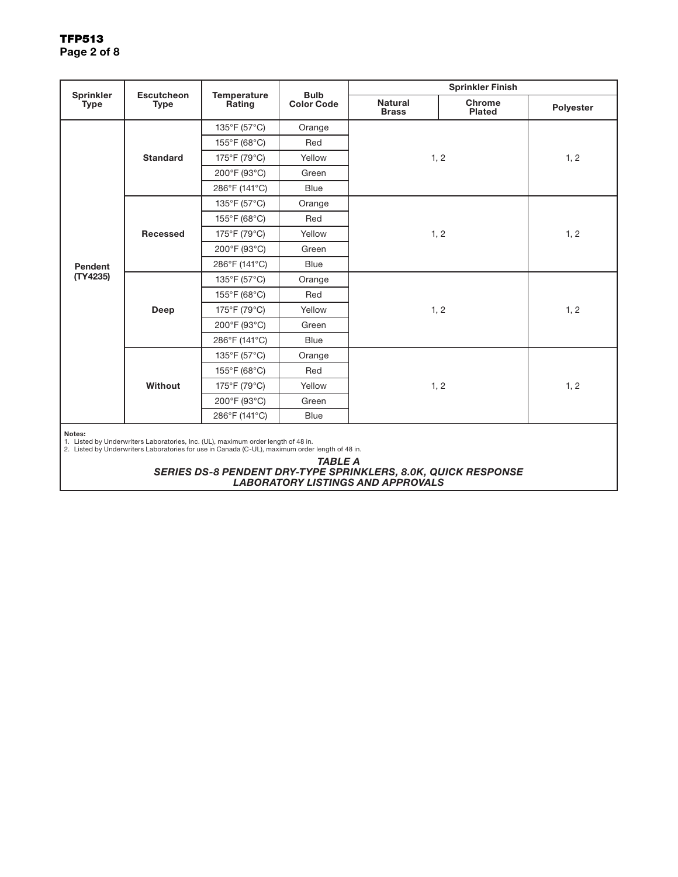### TFP513 Page 2 of 8

|                                 | <b>Escutcheon</b><br><b>Type</b> | Temperature<br>Rating                                                                                                                                                                | <b>Bulb</b><br><b>Color Code</b> | <b>Sprinkler Finish</b>        |                         |           |
|---------------------------------|----------------------------------|--------------------------------------------------------------------------------------------------------------------------------------------------------------------------------------|----------------------------------|--------------------------------|-------------------------|-----------|
| <b>Sprinkler</b><br><b>Type</b> |                                  |                                                                                                                                                                                      |                                  | <b>Natural</b><br><b>Brass</b> | Chrome<br><b>Plated</b> | Polyester |
|                                 | <b>Standard</b>                  | 135°F (57°C)                                                                                                                                                                         | Orange                           | 1, 2                           |                         |           |
|                                 |                                  | 155°F (68°C)                                                                                                                                                                         | Red                              |                                |                         |           |
|                                 |                                  | 175°F (79°C)                                                                                                                                                                         | Yellow                           |                                |                         | 1, 2      |
|                                 |                                  | 200°F (93°C)                                                                                                                                                                         | Green                            |                                |                         |           |
|                                 |                                  | 286°F (141°C)                                                                                                                                                                        | <b>Blue</b>                      |                                |                         |           |
|                                 |                                  | 135°F (57°C)                                                                                                                                                                         | Orange                           |                                |                         |           |
| Pendent                         |                                  | 155°F (68°C)                                                                                                                                                                         | Red                              |                                |                         |           |
|                                 | Recessed                         | 175°F (79°C)                                                                                                                                                                         | Yellow                           | 1, 2                           | 1, 2                    |           |
|                                 |                                  | 200°F (93°C)                                                                                                                                                                         | Green                            |                                |                         |           |
|                                 |                                  | 286°F (141°C)                                                                                                                                                                        | <b>Blue</b>                      |                                |                         |           |
| (TY4235)                        | Deep                             | 135°F (57°C)                                                                                                                                                                         | Orange                           |                                |                         |           |
|                                 |                                  | 155°F (68°C)                                                                                                                                                                         | Red                              |                                |                         |           |
|                                 |                                  | 175°F (79°C)                                                                                                                                                                         | Yellow                           | 1, 2                           | 1, 2                    |           |
|                                 |                                  | 200°F (93°C)                                                                                                                                                                         | Green                            |                                |                         |           |
|                                 |                                  | 286°F (141°C)                                                                                                                                                                        | <b>Blue</b>                      |                                |                         |           |
|                                 | Without                          | 135°F (57°C)                                                                                                                                                                         | Orange                           |                                |                         |           |
|                                 |                                  | 155°F (68°C)                                                                                                                                                                         | Red                              |                                |                         |           |
|                                 |                                  | 175°F (79°C)                                                                                                                                                                         | Yellow                           | 1, 2                           | 1, 2                    |           |
|                                 |                                  | 200°F (93°C)                                                                                                                                                                         | Green                            |                                |                         |           |
|                                 |                                  | 286°F (141°C)                                                                                                                                                                        | <b>Blue</b>                      |                                |                         |           |
| Notes:                          |                                  | 1. Listed by Underwriters Laboratories, Inc. (UL), maximum order length of 48 in.<br>2. Listed by Underwriters Laboratories for use in Canada (C-UL), maximum order length of 48 in. |                                  |                                |                         |           |

*TABLE A*

*SERIES DS-8 PENDENT DRY-TYPE SPRINKLERS, 8.0K, QUICK RESPONSE LABORATORY LISTINGS AND APPROVALS*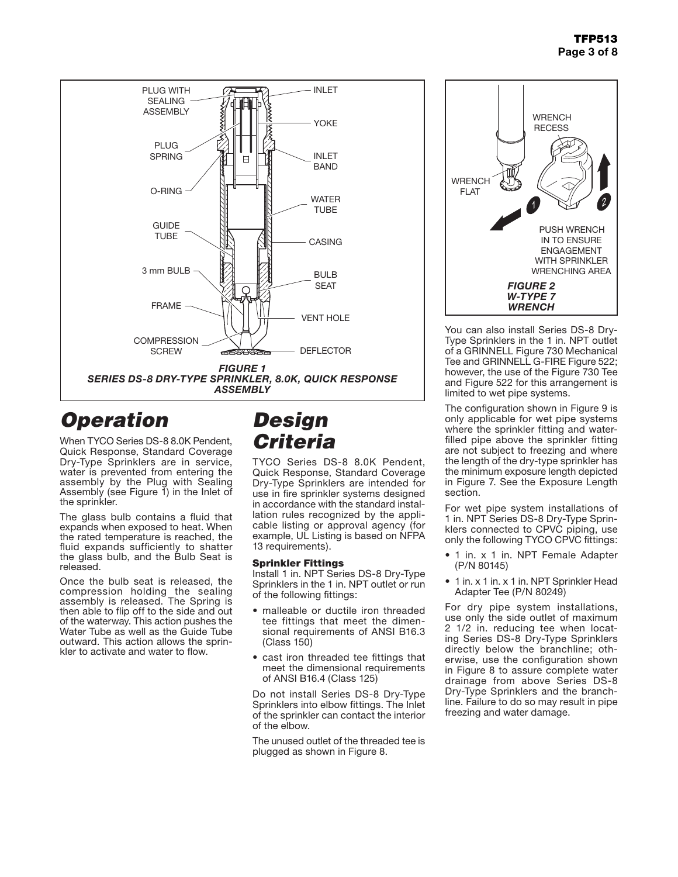

# *Operation*

When TYCO Series DS-8 8.0K Pendent, Quick Response, Standard Coverage Dry-Type Sprinklers are in service, water is prevented from entering the assembly by the Plug with Sealing Assembly (see Figure 1) in the Inlet of the sprinkler.

The glass bulb contains a fluid that expands when exposed to heat. When the rated temperature is reached, the fluid expands sufficiently to shatter the glass bulb, and the Bulb Seat is released.

Once the bulb seat is released, the compression holding the sealing assembly is released. The Spring is then able to flip off to the side and out of the waterway. This action pushes the Water Tube as well as the Guide Tube outward. This action allows the sprin- kler to activate and water to flow.

# *Design Criteria*

TYCO Series DS-8 8.0K Pendent, Quick Response, Standard Coverage Dry-Type Sprinklers are intended for use in fire sprinkler systems designed in accordance with the standard installation rules recognized by the applicable listing or approval agency (for example, UL Listing is based on NFPA 13 requirements).

### Sprinkler Fittings

Install 1 in. NPT Series DS-8 Dry-Type Sprinklers in the 1 in. NPT outlet or run of the following fittings:

- malleable or ductile iron threaded tee fittings that meet the dimensional requirements of ANSI B16.3 (Class 150)
- cast iron threaded tee fittings that meet the dimensional requirements of ANSI B16.4 (Class 125)

Do not install Series DS-8 Dry-Type Sprinklers into elbow fittings. The Inlet of the sprinkler can contact the interior of the elbow.

The unused outlet of the threaded tee is plugged as shown in Figure 8.



You can also install Series DS-8 Dry-Type Sprinklers in the 1 in. NPT outlet of a GRINNELL Figure 730 Mechanical Tee and GRINNELL G-FIRE Figure 522; however, the use of the Figure 730 Tee and Figure 522 for this arrangement is limited to wet pipe systems.

The configuration shown in Figure 9 is only applicable for wet pipe systems where the sprinkler fitting and waterfilled pipe above the sprinkler fitting are not subject to freezing and where the length of the dry-type sprinkler has the minimum exposure length depicted in Figure 7. See the Exposure Length section.

For wet pipe system installations of 1 in. NPT Series DS-8 Dry-Type Sprinklers connected to CPVC piping, use only the following TYCO CPVC fittings:

- 1 in. x 1 in. NPT Female Adapter (P/N 80145)
- 1 in. x 1 in. x 1 in. NPT Sprinkler Head Adapter Tee (P/N 80249)

For dry pipe system installations, use only the side outlet of maximum 2 1/2 in. reducing tee when locating Series DS-8 Dry-Type Sprinklers directly below the branchline; otherwise, use the configuration shown in Figure 8 to assure complete water drainage from above Series DS-8 Dry-Type Sprinklers and the branchline. Failure to do so may result in pipe freezing and water damage.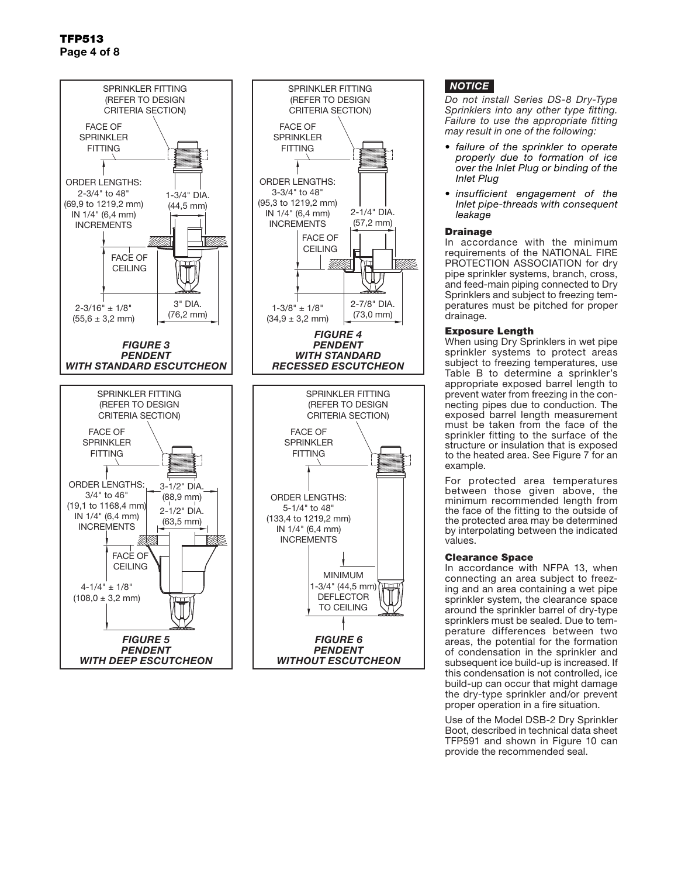

### *NOTICE*

*Do not install Series DS-8 Dry-Type Sprinklers into any other type fitting. Failure to use the appropriate fitting may result in one of the following:*

- *• failure of the sprinkler to operate properly due to formation of ice over the Inlet Plug or binding of the Inlet Plug*
- *• insufficient engagement of the Inlet pipe-threads with consequent leakage*

#### Drainage

(57,2 mm)

VM#

In accordance with the minimum requirements of the NATIONAL FIRE PROTECTION ASSOCIATION for dry pipe sprinkler systems, branch, cross, and feed-main piping connected to Dry Sprinklers and subject to freezing temperatures must be pitched for proper drainage.

#### Exposure Length

When using Dry Sprinklers in wet pipe sprinkler systems to protect areas subject to freezing temperatures, use Table B to determine a sprinkler's appropriate exposed barrel length to prevent water from freezing in the connecting pipes due to conduction. The exposed barrel length measurement must be taken from the face of the sprinkler fitting to the surface of the structure or insulation that is exposed to the heated area. See Figure 7 for an example.

For protected area temperatures between those given above, the minimum recommended length from the face of the fitting to the outside of the protected area may be determined by interpolating between the indicated values.

#### Clearance Space

In accordance with NFPA 13, when connecting an area subject to freezing and an area containing a wet pipe sprinkler system, the clearance space around the sprinkler barrel of dry-type sprinklers must be sealed. Due to temperature differences between two areas, the potential for the formation of condensation in the sprinkler and subsequent ice build-up is increased. If this condensation is not controlled, ice build-up can occur that might damage the dry-type sprinkler and/or prevent proper operation in a fire situation.

Use of the Model DSB-2 Dry Sprinkler Boot, described in technical data sheet TFP591 and shown in Figure 10 can provide the recommended seal.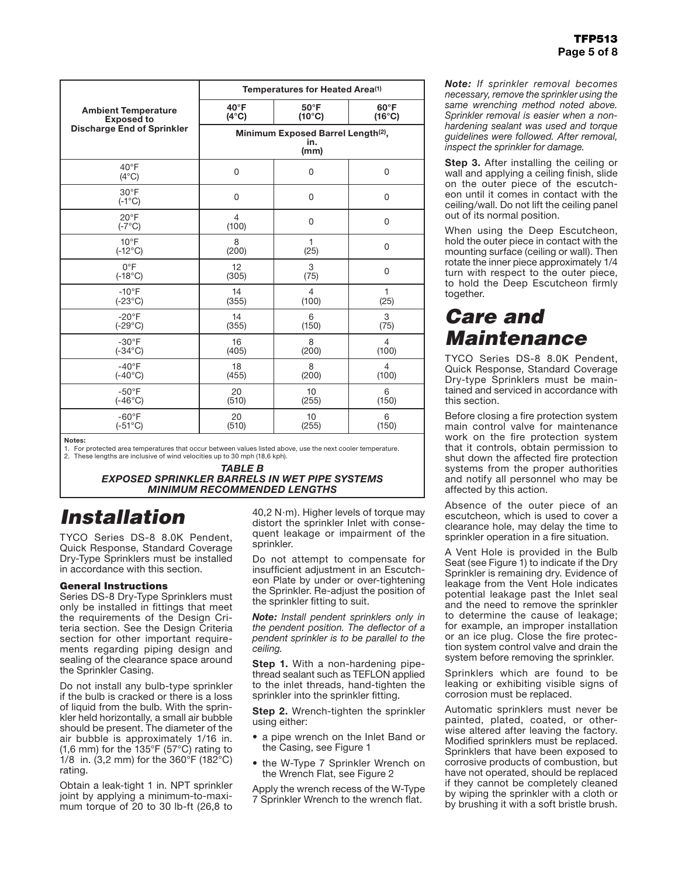|                                   | Temperatures for Heated Area <sup>(1)</sup>                   |                 |                 |  |
|-----------------------------------|---------------------------------------------------------------|-----------------|-----------------|--|
| <b>Ambient Temperature</b>        | $40^{\circ}$ F                                                | $50^{\circ}$ F  | $60^{\circ}$ F  |  |
| <b>Exposed to</b>                 | $(4^{\circ}C)$                                                | $(10^{\circ}C)$ | $(16^{\circ}C)$ |  |
| <b>Discharge End of Sprinkler</b> | Minimum Exposed Barrel Length <sup>(2)</sup> ,<br>in.<br>(mm) |                 |                 |  |
| $40^{\circ}$ F<br>$(4^{\circ}C)$  | 0                                                             | 0               | $\Omega$        |  |
| $30^{\circ}$ F<br>$(-1^{\circ}C)$ | 0                                                             | 0               | $\overline{0}$  |  |
| $20^{\circ}$ F<br>$(-7^{\circ}C)$ | $\overline{4}$<br>(100)                                       | 0               | 0               |  |
| $10^{\circ}$ F                    | 8                                                             | 1               | $\mathbf 0$     |  |
| $(-12^{\circ}C)$                  | (200)                                                         | (25)            |                 |  |
| $0^{\circ}$ F                     | 12                                                            | 3               | $\mathbf 0$     |  |
| $(-18^{\circ}C)$                  | (305)                                                         | (75)            |                 |  |
| $-10^{\circ}$ F                   | 14                                                            | 4               | 1               |  |
| $(-23^{\circ}C)$                  | (355)                                                         | (100)           | (25)            |  |
| $-20^{\circ}$ F                   | 14                                                            | 6               | 3               |  |
| $(-29^{\circ}C)$                  | (355)                                                         | (150)           | (75)            |  |
| $-30^{\circ}$ F                   | 16                                                            | 8               | $\overline{4}$  |  |
| $(-34^{\circ}C)$                  | (405)                                                         | (200)           | (100)           |  |
| $-40^{\circ}F$                    | 18                                                            | 8               | $\overline{4}$  |  |
| $(-40^{\circ}C)$                  | (455)                                                         | (200)           | (100)           |  |
| $-50^{\circ}$ F                   | 20                                                            | 10              | 6               |  |
| $(-46^{\circ}C)$                  | (510)                                                         | (255)           | (150)           |  |
| $-60^\circ F$                     | 20                                                            | 10              | 6               |  |
| $(-51^{\circ}C)$                  | (510)                                                         | (255)           | (150)           |  |

Notes:

1. For protected area temperatures that occur between values listed above, use the next cooler temperature. These lengths are inclusive of wind velocities up to 30 mph (18,6 kph).

> *TABLE B EXPOSED SPRINKLER BARRELS IN WET PIPE SYSTEMS MINIMUM RECOMMENDED LENGTHS*

# *Installation*

TYCO Series DS-8 8.0K Pendent, Quick Response, Standard Coverage Dry-Type Sprinklers must be installed in accordance with this section.

#### General Instructions

Series DS-8 Dry-Type Sprinklers must only be installed in fittings that meet the requirements of the Design Criteria section. See the Design Criteria section for other important requirements regarding piping design and sealing of the clearance space around the Sprinkler Casing.

Do not install any bulb-type sprinkler if the bulb is cracked or there is a loss of liquid from the bulb. With the sprinkler held horizontally, a small air bubble should be present. The diameter of the air bubble is approximately 1/16 in. (1,6 mm) for the 135°F (57°C) rating to 1/8 in. (3,2 mm) for the 360°F (182°C) rating.

Obtain a leak-tight 1 in. NPT sprinkler joint by applying a minimum-to-maximum torque of 20 to 30 lb-ft (26,8 to 40,2 N·m). Higher levels of torque may distort the sprinkler Inlet with consequent leakage or impairment of the sprinkler.

Do not attempt to compensate for insufficient adjustment in an Escutcheon Plate by under or over-tightening the Sprinkler. Re-adjust the position of the sprinkler fitting to suit.

*Note: Install pendent sprinklers only in the pendent position. The deflector of a pendent sprinkler is to be parallel to the ceiling.*

**Step 1.** With a non-hardening pipethread sealant such as TEFLON applied to the inlet threads, hand-tighten the sprinkler into the sprinkler fitting.

**Step 2.** Wrench-tighten the sprinkler using either:

- a pipe wrench on the Inlet Band or the Casing, see Figure 1
- the W-Type 7 Sprinkler Wrench on the Wrench Flat, see Figure 2

Apply the wrench recess of the W-Type 7 Sprinkler Wrench to the wrench flat.

*Note: If sprinkler removal becomes necessary, remove the sprinkler using the same wrenching method noted above. Sprinkler removal is easier when a nonhardening sealant was used and torque guidelines were followed. After removal, inspect the sprinkler for damage.*

**Step 3.** After installing the ceiling or wall and applying a ceiling finish, slide on the outer piece of the escutcheon until it comes in contact with the ceiling/wall. Do not lift the ceiling panel out of its normal position.

When using the Deep Escutcheon, hold the outer piece in contact with the mounting surface (ceiling or wall). Then rotate the inner piece approximately 1/4 turn with respect to the outer piece, to hold the Deep Escutcheon firmly together.

### *Care and Maintenance*

TYCO Series DS-8 8.0K Pendent, Quick Response, Standard Coverage Dry-type Sprinklers must be maintained and serviced in accordance with this section.

Before closing a fire protection system main control valve for maintenance work on the fire protection system that it controls, obtain permission to shut down the affected fire protection systems from the proper authorities and notify all personnel who may be affected by this action.

Absence of the outer piece of an escutcheon, which is used to cover a clearance hole, may delay the time to sprinkler operation in a fire situation.

A Vent Hole is provided in the Bulb Seat (see Figure 1) to indicate if the Dry Sprinkler is remaining dry. Evidence of leakage from the Vent Hole indicates potential leakage past the Inlet seal and the need to remove the sprinkler to determine the cause of leakage; for example, an improper installation or an ice plug. Close the fire protection system control valve and drain the system before removing the sprinkler.

Sprinklers which are found to be leaking or exhibiting visible signs of corrosion must be replaced.

Automatic sprinklers must never be painted, plated, coated, or otherwise altered after leaving the factory. Modified sprinklers must be replaced. Sprinklers that have been exposed to corrosive products of combustion, but have not operated, should be replaced if they cannot be completely cleaned by wiping the sprinkler with a cloth or by brushing it with a soft bristle brush.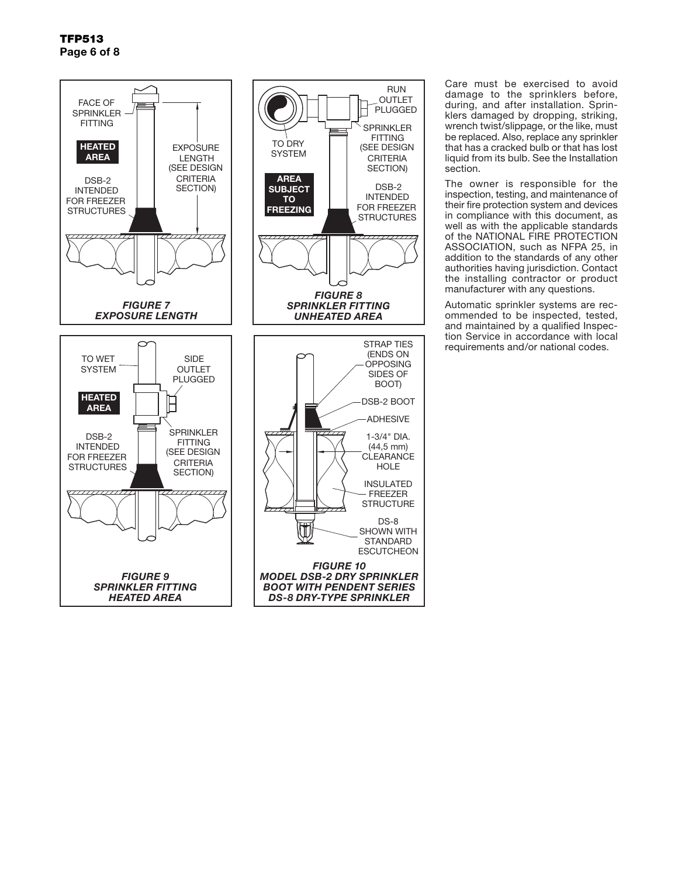

Care must be exercised to avoid damage to the sprinklers before, during, and after installation. Sprinklers damaged by dropping, striking, wrench twist/slippage, or the like, must be replaced. Also, replace any sprinkler that has a cracked bulb or that has lost liquid from its bulb. See the Installation section.

The owner is responsible for the inspection, testing, and maintenance of their fire protection system and devices in compliance with this document, as well as with the applicable standards of the NATIONAL FIRE PROTECTION ASSOCIATION, such as NFPA 25, in addition to the standards of any other authorities having jurisdiction. Contact the installing contractor or product manufacturer with any questions.

Automatic sprinkler systems are recommended to be inspected, tested, and maintained by a qualified Inspection Service in accordance with local requirements and/or national codes.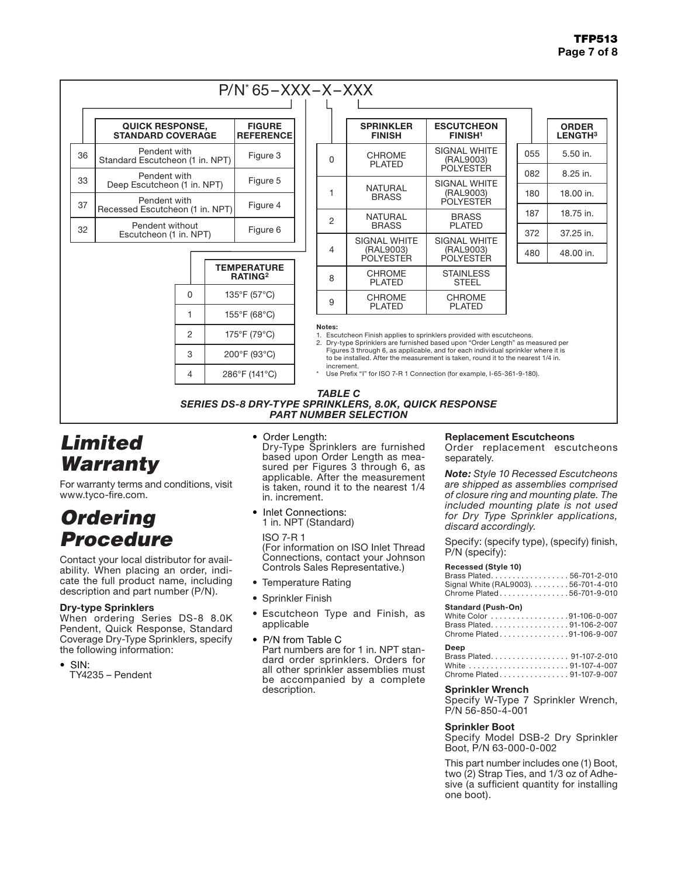### TFP513 Page 7 of 8

### P/N\* 65–XXX–X–XXX

|    | <b>QUICK RESPONSE,</b><br><b>STANDARD COVERAGE</b> | <b>FIGURE</b><br><b>REFERENCE</b> |
|----|----------------------------------------------------|-----------------------------------|
| 36 | Pendent with<br>Standard Escutcheon (1 in. NPT)    | Figure 3                          |
| 33 | Pendent with<br>Deep Escutcheon (1 in. NPT)        | Figure 5                          |
| 37 | Pendent with<br>Recessed Escutcheon (1 in. NPT)    | Figure 4                          |
| 32 | Pendent without<br>Escutcheon (1 in. NPT)          | Figure 6                          |



| $\lambda$<br>,,,,, |                                                      |                                                      |  |     |                                |  |
|--------------------|------------------------------------------------------|------------------------------------------------------|--|-----|--------------------------------|--|
|                    | <b>SPRINKLER</b><br><b>FINISH</b>                    | <b>ESCUTCHEON</b><br><b>FINISH<sup>1</sup></b>       |  |     | <b>ORDER</b><br><b>LENGTH3</b> |  |
| 0                  | <b>CHROME</b><br><b>PLATED</b>                       | <b>SIGNAL WHITE</b><br>(RAL9003)                     |  | 055 | $5.50$ in.                     |  |
|                    |                                                      | <b>POLYESTER</b>                                     |  | 082 | 8.25 in.                       |  |
| 1                  | <b>NATURAL</b><br><b>BRASS</b>                       | SIGNAL WHITE<br>(RAL9003)<br><b>POLYESTER</b>        |  | 180 | 18.00 in.                      |  |
| 2                  | <b>NATURAL</b>                                       | <b>BRASS</b>                                         |  | 187 | 18.75 in.                      |  |
|                    | <b>BRASS</b>                                         | <b>PLATED</b>                                        |  | 372 | 37.25 in.                      |  |
| 4                  | <b>SIGNAL WHITE</b><br>(RAL9003)<br><b>POLYESTER</b> | <b>SIGNAL WHITE</b><br>(RAL9003)<br><b>POLYESTER</b> |  | 480 | 48.00 in.                      |  |
| 8                  | <b>CHROME</b><br><b>PLATED</b>                       | <b>STAINLESS</b><br><b>STEEL</b>                     |  |     |                                |  |
| 9                  | <b>CHROME</b><br><b>PLATED</b>                       | <b>CHROME</b><br><b>PLATED</b>                       |  |     |                                |  |

Notes:

1. Escutcheon Finish applies to sprinklers provided with escutcheons.

2. Dry-type Sprinklers are furnished based upon "Order Length" as measured per Figures 3 through 6, as applicable, and for each individual sprinkler where it is to be installed. After the measurement is taken, round it to the nearest 1/4 in. increment.

Use Prefix "I" for ISO 7-R 1 Connection (for example, I-65-361-9-180).

#### *TABLE C*

*SERIES DS-8 DRY-TYPE SPRINKLERS, 8.0K, QUICK RESPONSE PART NUMBER SELECTION*

# *Limited Warranty*

For warranty terms and conditions, visit www.tyco-fire.com.

### *Ordering Procedure*

Contact your local distributor for availability. When placing an order, indicate the full product name, including description and part number (P/N).

#### Dry-type Sprinklers

When ordering Series DS-8 8.0K Pendent, Quick Response, Standard Coverage Dry-Type Sprinklers, specify the following information:

• SIN: TY4235 – Pendent • Order Length:

Dry-Type Sprinklers are furnished based upon Order Length as measured per Figures 3 through 6, as applicable. After the measurement is taken, round it to the nearest 1/4 in. increment.

• Inlet Connections: 1 in. NPT (Standard)

ISO 7-R 1 (For information on ISO Inlet Thread Connections, contact your Johnson Controls Sales Representative.)

- Temperature Rating
- Sprinkler Finish
- Escutcheon Type and Finish, as applicable
- P/N from Table C Part numbers are for 1 in. NPT standard order sprinklers. Orders for all other sprinkler assemblies must be accompanied by a complete description.

#### Replacement Escutcheons

Order replacement escutcheons separately.

*Note: Style 10 Recessed Escutcheons are shipped as assemblies comprised of closure ring and mounting plate. The included mounting plate is not used for Dry Type Sprinkler applications, discard accordingly.*

Specify: (specify type), (specify) finish, P/N (specify):

#### **Recessed (Style 10)**

| Brass Plated56-701-2-010             |  |
|--------------------------------------|--|
| Signal White (RAL9003). 56-701-4-010 |  |
| Chrome Plated56-701-9-010            |  |

#### **Standard (Push-On)**

| White Color 91-106-0-007  |  |
|---------------------------|--|
| Brass Plated91-106-2-007  |  |
| Chrome Plated91-106-9-007 |  |

#### **Deep**

| ---                       |  |
|---------------------------|--|
| Brass Plated 91-107-2-010 |  |
| White 91-107-4-007        |  |
| Chrome Plated91-107-9-007 |  |

#### Sprinkler Wrench

Specify W-Type 7 Sprinkler Wrench, P/N 56-850-4-001

#### Sprinkler Boot

Specify Model DSB-2 Dry Sprinkler Boot, P/N 63-000-0-002

This part number includes one (1) Boot, two (2) Strap Ties, and 1/3 oz of Adhesive (a sufficient quantity for installing one boot).